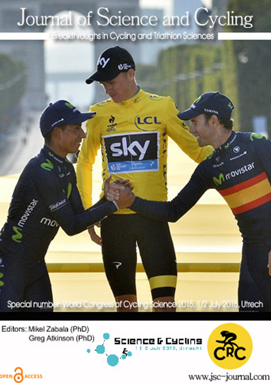## Journal of Science and Cycling

Breakthroughs in Cycling and Triathlon Sciences



Editors: Mikel Zabala (PhD) Greg Atkinson (PhD)

OPEN CACCESS





www.jsc-journal.com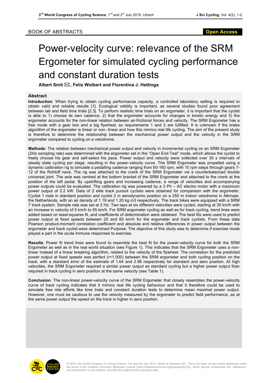## Power-velocity curve: relevance of the SRM Ergometer for simulated cycling performance and constant duration tests

**Albert Smit** \***, Felix Wolbert and Florentina J. Hettinga**

## **Abstract**

**Introduction**: When trying to obtain cycling performance capacity, a controlled laboratory setting is required to obtain valid and reliable results [1]. Ecological validity is important, as several studies found poor agreement between lab and field time trials [2,3]. To perform realistic time trials on an ergometer, it is important that the cyclist is able to 1) choose its own cadence, 2) that the ergometer accounts for changes in kinetic energy and 3) the ergometer accounts for the non-linear relation between air-frictional forces and velocity. The SRM Ergometer has a free mode with a gear box and a big flywheel, so requirements 1 and 2 are fulfilled. It is unknown if the brake algorithm of the ergometer is linear or non- linear and how this mimics real life cycling. The aim of the present study is therefore to determine the relationship between the mechanical power output and the velocity in the SRM ergometer compared to cycling on a velodrome.

**Methods**: The relation between mechanical power output and velocity in incremental cycling on an SRM Ergometer (2Hz sampling rate) was determined with the ergometer set in the "Open End Test" mode, which allows the cyclist to freely choose his gear and self-select his pace. Power output and velocity were collected over 30 s intervals of steady state cycling per stage, resulting in the power-velocity curve. The SRM Ergometer was propelled using a dynamic calibration rig to simulate a pedalling cadence ranging from 60-160 rpm, with 10 rpm steps through gears 7- 12 of the Rohloff nave. The rig was attached to the crank of the SRM Ergometer via a counterbalanced double universal joint. The axle was centred at the bottom bracket of the SRM Ergometer and attached to the crank at the position of the left pedal. By upshifting gears and increasing cadence, a range of velocities and accompanying power outputs could be evaluated. The calibration rig was powered by a 3 Ph – AC electro motor with a maximum power output of 2.2 kW. Data of 2 elite track pursuit cyclists were obtained for comparison with the ergometer. Cyclist 1 rode in standard position and cyclist 2 in aerodynamic position on a 250 m indoor velodrome in Alkmaar, the Netherlands, with an air density of 1.19 and 1.20 kg.m3 respectively. The track bikes were equipped with a SRM 7 track system. Sample rate was set at 2 Hz. Two laps at six different velocities were cycled, starting at 30 km/h with an increase in velocity of 5 km/h to 55 km/h. For SRM ergometer cycling as well as for track cycling, trend lines were added based on least-squares fit, and coefficients of determination were obtained. The best fits were used to predict power output at fixed speeds between 25 and 60 km/h for the ergometer and track cyclists. From these data Pearson product-moment correlation coefficient and absolute and relative differences in power output between the ergometer and track cyclist were determined Purpose: The objective of this study was to determine if exercise mode played a part in the acute immune responses to exercise.

**Results**: Power fit trend lines were found to resemble the best fit for the power-velocity curve for both the SRM Ergometer as well as in the real world situation (see Figure 1). This indicates that the SRM Ergometer uses a nonlinear instead of a linear breaking algorithm, related to the velocity of the flywheel. The correlation for the predicted power output at fixed speeds was perfect (r=1.000) between the SRM ergometer and both cycling position on the track, with a standard error of the estimate of 1.64 and 2.96 respectively for standard and aero position. At high velocities, the SRM Ergometer required a similar power output as standard cycling but a higher power output than required in track cycling in aero position at the same velocity (see Table 1).

**Conclusion**: The non-linear power-velocity curve of the SRM Ergometer that closely resembles the power-velocity curve of track cycling indicates that it mimics real life cycling behaviour and that it therefore could be used to simulate free ride efforts like time trials and constant duration tests to determine mean maximal power output. However, one must be cautious to use the velocity measured by the ergometer to predict field performance, as at the same power output the speed on the track is higher in aero position.